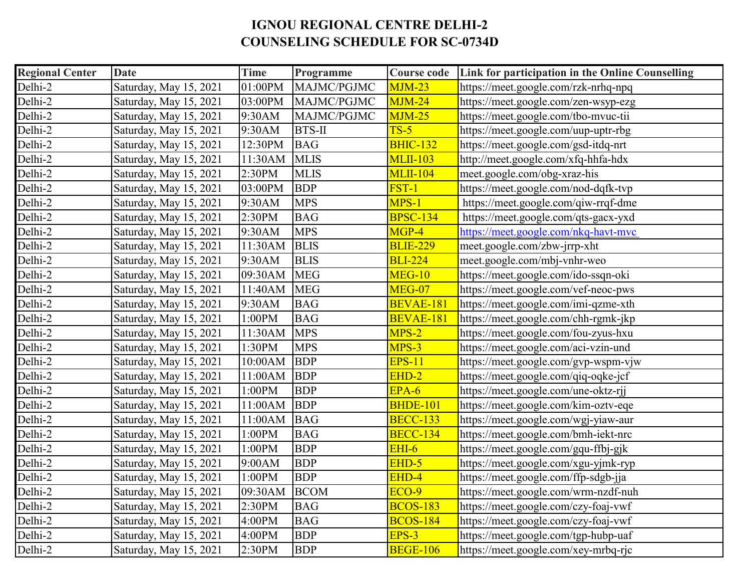## **IGNOU REGIONAL CENTRE DELHI-2 COUNSELING SCHEDULE FOR SC-0734D**

| <b>Regional Center</b> | <b>Date</b>            | Time    | Programme     | <b>Course code</b> | Link for participation in the Online Counselling |  |
|------------------------|------------------------|---------|---------------|--------------------|--------------------------------------------------|--|
| Delhi-2                | Saturday, May 15, 2021 | 01:00PM | MAJMC/PGJMC   | $MJM-23$           | https://meet.google.com/rzk-nrhq-npq             |  |
| Delhi-2                | Saturday, May 15, 2021 | 03:00PM | MAJMC/PGJMC   | $MJM-24$           | https://meet.google.com/zen-wsyp-ezg             |  |
| Delhi-2                | Saturday, May 15, 2021 | 9:30AM  | MAJMC/PGJMC   | $MJM-25$           | https://meet.google.com/tbo-mvuc-tii             |  |
| Delhi-2                | Saturday, May 15, 2021 | 9:30AM  | <b>BTS-II</b> | $TS-5$             | https://meet.google.com/uup-uptr-rbg             |  |
| Delhi-2                | Saturday, May 15, 2021 | 12:30PM | <b>BAG</b>    | <b>BHIC-132</b>    | https://meet.google.com/gsd-itdq-nrt             |  |
| Delhi-2                | Saturday, May 15, 2021 | 11:30AM | <b>MLIS</b>   | <b>MLII-103</b>    | http://meet.google.com/xfq-hhfa-hdx              |  |
| Delhi-2                | Saturday, May 15, 2021 | 2:30PM  | <b>MLIS</b>   | <b>MLII-104</b>    | meet.google.com/obg-xraz-his                     |  |
| Delhi-2                | Saturday, May 15, 2021 | 03:00PM | <b>BDP</b>    | FST-1              | https://meet.google.com/nod-dqfk-tvp             |  |
| Delhi-2                | Saturday, May 15, 2021 | 9:30AM  | <b>MPS</b>    | $MPS-1$            | https://meet.google.com/qiw-rrqf-dme             |  |
| Delhi-2                | Saturday, May 15, 2021 | 2:30PM  | <b>BAG</b>    | <b>BPSC-134</b>    | https://meet.google.com/qts-gacx-yxd             |  |
| Delhi-2                | Saturday, May 15, 2021 | 9:30AM  | <b>MPS</b>    | MGP-4              | https://meet.google.com/nkq-havt-mvc             |  |
| Delhi-2                | Saturday, May 15, 2021 | 11:30AM | <b>BLIS</b>   | <b>BLIE-229</b>    | meet.google.com/zbw-jrrp-xht                     |  |
| Delhi-2                | Saturday, May 15, 2021 | 9:30AM  | <b>BLIS</b>   | <b>BLI-224</b>     | meet.google.com/mbj-vnhr-weo                     |  |
| Delhi-2                | Saturday, May 15, 2021 | 09:30AM | <b>MEG</b>    | <b>MEG-10</b>      | https://meet.google.com/ido-ssqn-oki             |  |
| Delhi-2                | Saturday, May 15, 2021 | 11:40AM | <b>MEG</b>    | MEG-07             | https://meet.google.com/vef-neoc-pws             |  |
| Delhi-2                | Saturday, May 15, 2021 | 9:30AM  | <b>BAG</b>    | BEVAE-181          | https://meet.google.com/imi-qzme-xth             |  |
| Delhi-2                | Saturday, May 15, 2021 | 1:00PM  | <b>BAG</b>    | <b>BEVAE-181</b>   | https://meet.google.com/chh-rgmk-jkp             |  |
| Delhi-2                | Saturday, May 15, 2021 | 11:30AM | <b>MPS</b>    | $MPS-2$            | https://meet.google.com/fou-zyus-hxu             |  |
| Delhi-2                | Saturday, May 15, 2021 | 1:30PM  | <b>MPS</b>    | MPS-3              | https://meet.google.com/aci-vzin-und             |  |
| Delhi-2                | Saturday, May 15, 2021 | 10:00AM | <b>BDP</b>    | <b>EPS-11</b>      | https://meet.google.com/gvp-wspm-vjw             |  |
| Delhi-2                | Saturday, May 15, 2021 | 11:00AM | <b>BDP</b>    | $EHD-2$            | https://meet.google.com/qiq-oqke-jcf             |  |
| Delhi-2                | Saturday, May 15, 2021 | 1:00PM  | <b>BDP</b>    | $EPA-6$            | https://meet.google.com/une-oktz-rjj             |  |
| Delhi-2                | Saturday, May 15, 2021 | 11:00AM | <b>BDP</b>    | <b>BHDE-101</b>    | https://meet.google.com/kim-oztv-eqe             |  |
| Delhi-2                | Saturday, May 15, 2021 | 11:00AM | <b>BAG</b>    | <b>BECC-133</b>    | https://meet.google.com/wgj-yiaw-aur             |  |
| Delhi-2                | Saturday, May 15, 2021 | 1:00PM  | <b>BAG</b>    | <b>BECC-134</b>    | https://meet.google.com/bmh-iekt-nrc             |  |
| Delhi-2                | Saturday, May 15, 2021 | 1:00PM  | <b>BDP</b>    | $EHI-6$            | https://meet.google.com/gqu-ffbj-gjk             |  |
| Delhi-2                | Saturday, May 15, 2021 | 9:00AM  | <b>BDP</b>    | EHD-5              | https://meet.google.com/xgu-yjmk-ryp             |  |
| Delhi-2                | Saturday, May 15, 2021 | 1:00PM  | <b>BDP</b>    | EHD-4              | https://meet.google.com/ffp-sdgb-jja             |  |
| Delhi-2                | Saturday, May 15, 2021 | 09:30AM | <b>BCOM</b>   | <b>ECO-9</b>       | https://meet.google.com/wrm-nzdf-nuh             |  |
| Delhi-2                | Saturday, May 15, 2021 | 2:30PM  | <b>BAG</b>    | <b>BCOS-183</b>    | https://meet.google.com/czy-foaj-vwf             |  |
| Delhi-2                | Saturday, May 15, 2021 | 4:00PM  | <b>BAG</b>    | <b>BCOS-184</b>    | https://meet.google.com/czy-foaj-vwf             |  |
| Delhi-2                | Saturday, May 15, 2021 | 4:00PM  | <b>BDP</b>    | $EPS-3$            | https://meet.google.com/tgp-hubp-uaf             |  |
| Delhi-2                | Saturday, May 15, 2021 | 2:30PM  | <b>BDP</b>    | <b>BEGE-106</b>    | https://meet.google.com/xey-mrbq-rjc             |  |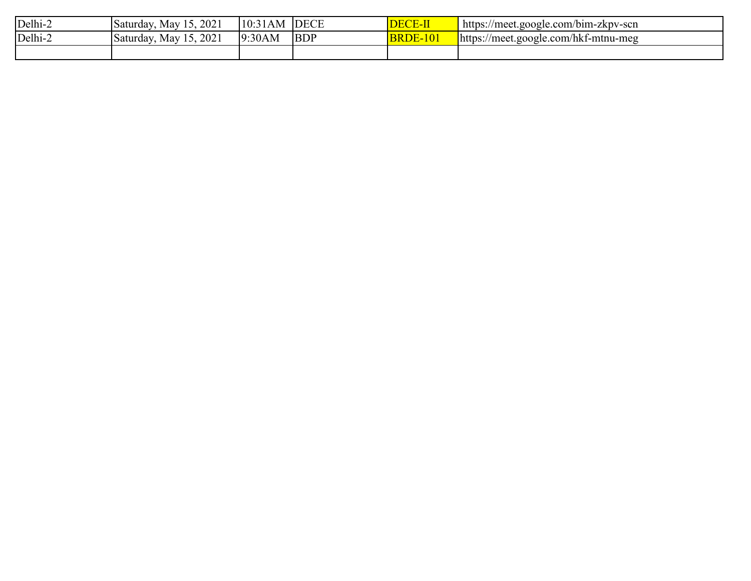| Delhi-2 | 15, 2021<br>May<br>Saturday, | 110:5<br>⊥AM ∴ | <b>DECE</b> | <b>DECE-II</b>               | https:/<br>//meet.google.com/bim-zkpv-scn |
|---------|------------------------------|----------------|-------------|------------------------------|-------------------------------------------|
| Delhi-2 | 15, 2021<br>Mav<br>Saturday, | 9:30AM         | <b>BDP</b>  | <u> 2-101</u><br><b>BRDE</b> | https://meet.google.com/hkf-mtnu-meg      |
|         |                              |                |             |                              |                                           |